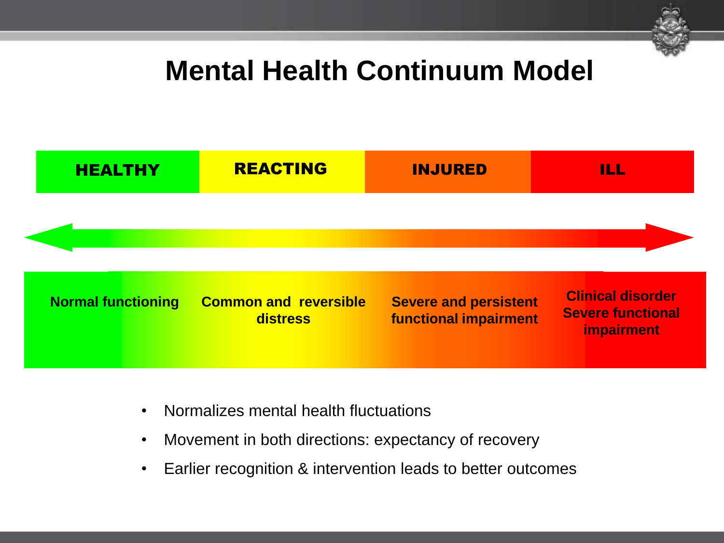

## **Mental Health Continuum Model**



- Normalizes mental health fluctuations
- Movement in both directions: expectancy of recovery
- Earlier recognition & intervention leads to better outcomes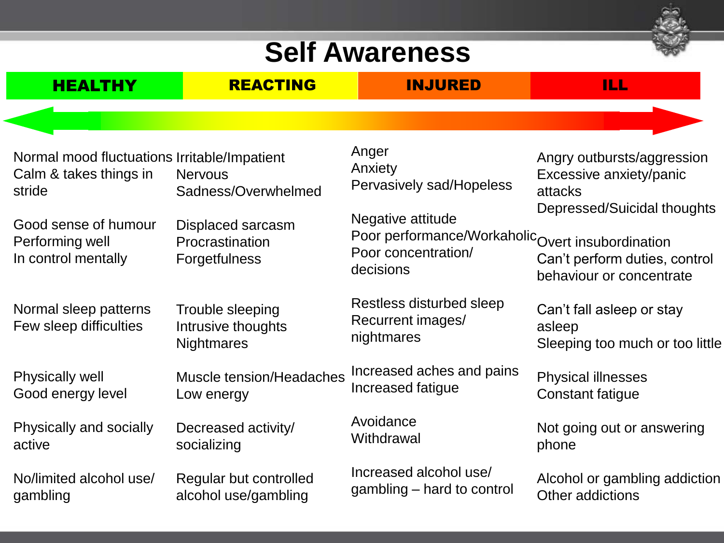## **Self Awareness**



| <b>HEALTHY</b>                                                                                           | <b>REACTING</b>                                             | <b>INJURED</b>                                                                       | ILL.                                                                                            |
|----------------------------------------------------------------------------------------------------------|-------------------------------------------------------------|--------------------------------------------------------------------------------------|-------------------------------------------------------------------------------------------------|
|                                                                                                          |                                                             |                                                                                      |                                                                                                 |
| Normal mood fluctuations Irritable/Impatient<br>Calm & takes things in<br>stride<br>Good sense of humour | <b>Nervous</b><br>Sadness/Overwhelmed<br>Displaced sarcasm  | Anger<br>Anxiety<br>Pervasively sad/Hopeless<br>Negative attitude                    | Angry outbursts/aggression<br>Excessive anxiety/panic<br>attacks<br>Depressed/Suicidal thoughts |
| Performing well<br>In control mentally                                                                   | Procrastination<br><b>Forgetfulness</b>                     | Poor performance/WorkaholicOvert insubordination<br>Poor concentration/<br>decisions | Can't perform duties, control<br>behaviour or concentrate                                       |
| Normal sleep patterns<br>Few sleep difficulties                                                          | Trouble sleeping<br>Intrusive thoughts<br><b>Nightmares</b> | Restless disturbed sleep<br>Recurrent images/<br>nightmares                          | Can't fall asleep or stay<br>asleep<br>Sleeping too much or too little                          |
| <b>Physically well</b><br>Good energy level                                                              | Muscle tension/Headaches<br>Low energy                      | Increased aches and pains<br>Increased fatigue                                       | <b>Physical illnesses</b><br><b>Constant fatigue</b>                                            |
| Physically and socially<br>active                                                                        | Decreased activity/<br>socializing                          | Avoidance<br>Withdrawal                                                              | Not going out or answering<br>phone                                                             |
| No/limited alcohol use/<br>gambling                                                                      | Regular but controlled<br>alcohol use/gambling              | Increased alcohol use/<br>gambling – hard to control                                 | Alcohol or gambling addiction<br>Other addictions                                               |